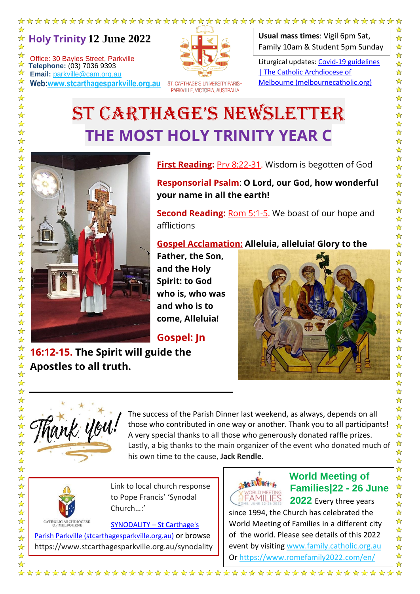**Holy Trinity 12 June 2022** ☆

Office: 30 Bayles Street, Parkville **Telephone:** (03) 7036 9393<br> **Email:** parkyille@cam.org **Email:** parkville@cam.org.au ☆

 $\rightarrow$ 

 $\frac{1}{\sqrt{2}}$ 

 $\frac{1}{\sqrt{2}}$  $\frac{1}{\sqrt{2}}$ 

 $\frac{1}{\sqrt{2}}$ 

 $\frac{1}{\sqrt{2}}$ 24 24  $\frac{1}{\sqrt{2}}$ 

 $\overrightarrow{\mathbf{x}}$  $\frac{1}{\sqrt{2}}$  $\frac{1}{\sqrt{2}}$ 

毕毕毕

 $\frac{1}{2}$  $\frac{1}{\sqrt{2}}$ 55年  $\frac{1}{\sqrt{2}}$  $\frac{1}{\sqrt{2}}$  $\frac{1}{\sqrt{2}}$  $\frac{1}{\sqrt{2}}$ 

\*\*\*

 $\frac{1}{\sqrt{2}}$ 

 $\frac{1}{\sqrt{2}}$ 

 $\frac{1}{\sqrt{2}}$ 

 $\frac{1}{\sqrt{2}}$ 

 $\frac{1}{\sqrt{2}}$ 

 $\frac{1}{\mathcal{N}}$ 

☆  $\frac{\lambda}{\lambda}$  $\frac{\lambda}{\lambda}$ 

 $\frac{1}{\sqrt{2}}$  $\frac{1}{\sqrt{2}}$  $\frac{1}{\sqrt{2}}$ 

 $\frac{1}{\sqrt{2}}$  $\frac{1}{\sqrt{2}}$ 

22222

 $\frac{1}{2}$ 

 $\frac{1}{\sqrt{2}}$ 

25年2

 $\frac{1}{\sqrt{2}}$ 

 $\frac{1}{\sqrt{2}}$ 

 $\frac{1}{\mathcal{N}}$ 

 $\frac{1}{\sqrt{2}}$ 

 $\frac{1}{\mathcal{N}}$ 

 $\frac{1}{\sqrt{2}}$ 

 $\frac{1}{\sqrt{2}}$ 

 $\frac{1}{\sqrt{2}}$  $\frac{1}{\mathcal{N}}$ 

 $\frac{1}{2}$ 

**Web:www.stcarthagesparkville.org.au**



ST. CARTHAGE'S UNIVERSITY PARISH PARKVILLE, VICTORIA, AUSTRALIA

**Usual mass times**: Vigil 6pm Sat, Family 10am & Student 5pm Sunday

Liturgical updates: Covid-19 guidelines | The Catholic Archdiocese of Melbourne (melbournecatholic.org)

# ST CARTHAGE'S NEWSLETTER **THE MOST HOLY TRINITY YEAR C**



**First Reading: Prv 8:22-31.** Wisdom is begotten of God

 $\ddot{\phantom{0}}$ 

**Responsorial Psalm**: **O Lord, our God, how wonderful your name in all the earth!**

**Second Reading:** Rom 5:1-5. We boast of our hope and afflictions

**Gospel Acclamation: Alleluia, alleluia! Glory to the** 

**Father, the Son, and the Holy Spirit: to God who is, who was and who is to come, Alleluia!**

**Gospel: Jn** 

**16:12-15. The Spirit will guide the Apostles to all truth.**





The success of the Parish Dinner last weekend, as always, depends on all those who contributed in one way or another. Thank you to all participants! A very special thanks to all those who generously donated raffle prizes. Lastly, a big thanks to the main organizer of the event who donated much of his own time to the cause, **Jack Rendle**.



 Link to local church response to Pope Francis' 'Synodal Church…:'

CATHOLIC ARCHDIOCESE **SYNODALITY** - St Carthage's Parish Parkville (stcarthagesparkville.org.au) or browse https://www.stcarthagesparkville.org.au/synodality

## **World Meeting of Families|22 - 26 June**

**FAMILIES 2022** Every three years since 1994, the Church has celebrated the World Meeting of Families in a different city of the world. Please see details of this 2022 event by visiting www.family.catholic.org.au Or https://www.romefamily2022.com/en/